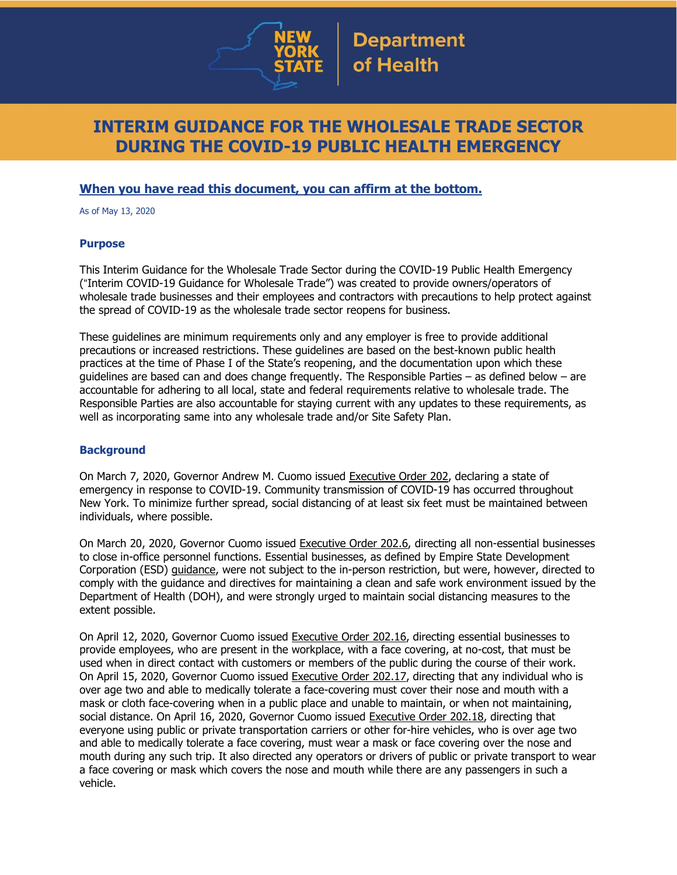

# **INTERIM GUIDANCE FOR THE WHOLESALE TRADE SECTOR DURING THE COVID-19 PUBLIC HEALTH EMERGENCY**

## **When you have read this document, you can affirm at the bottom.**

As of May 13, 2020

## **Purpose**

This Interim Guidance for the Wholesale Trade Sector during the COVID-19 Public Health Emergency ("Interim COVID-19 Guidance for Wholesale Trade") was created to provide owners/operators of wholesale trade businesses and their employees and contractors with precautions to help protect against the spread of COVID-19 as the wholesale trade sector reopens for business.

These guidelines are minimum requirements only and any employer is free to provide additional precautions or increased restrictions. These guidelines are based on the best-known public health practices at the time of Phase I of the State's reopening, and the documentation upon which these guidelines are based can and does change frequently. The Responsible Parties – as defined below – are accountable for adhering to all local, state and federal requirements relative to wholesale trade. The Responsible Parties are also accountable for staying current with any updates to these requirements, as well as incorporating same into any wholesale trade and/or Site Safety Plan.

## **Background**

On March 7, 2020, Governor Andrew M. Cuomo issued [Executive](https://www.governor.ny.gov/news/no-202-declaring-disaster-emergency-state-new-york) Order 202, declaring a state of emergency in response to COVID-19. Community transmission of COVID-19 has occurred throughout New York. To minimize further spread, social distancing of at least six feet must be maintained between individuals, where possible.

On March 20, 2020, Governor Cuomo issued [Executive](https://www.governor.ny.gov/news/no-2026-continuing-temporary-suspension-and-modification-laws-relating-disaster-emergency) Order 202.6, directing all non-essential businesses to close in-office personnel functions. Essential businesses, as defined by Empire State Development Corporation (ESD) [guidance,](https://esd.ny.gov/guidance-executive-order-2026) were not subject to the in-person restriction, but were, however, directed to comply with the guidance and directives for maintaining a clean and safe work environment issued by the Department of Health (DOH), and were strongly urged to maintain social distancing measures to the extent possible.

On April 12, 2020, Governor Cuomo issued [Executive](https://www.governor.ny.gov/news/no-20216-continuing-temporary-suspension-and-modification-laws-relating-disaster-emergency) Order 202.16, directing essential businesses to provide employees, who are present in the workplace, with a face covering, at no-cost, that must be used when in direct contact with customers or members of the public during the course of their work. On April 15, 2020, Governor Cuomo issued [Executive](https://www.governor.ny.gov/news/no-20217-continuing-temporary-suspension-and-modification-laws-relating-disaster-emergency) Order 202.17, directing that any individual who is over age two and able to medically tolerate a face-covering must cover their nose and mouth with a mask or cloth face-covering when in a public place and unable to maintain, or when not maintaining, social distance. On April 16, 2020, Governor Cuomo issued [Executive](https://www.governor.ny.gov/news/no-20218-continuing-temporary-suspension-and-modification-laws-relating-disaster-emergency) Order 202.18, directing that everyone using public or private transportation carriers or other for-hire vehicles, who is over age two and able to medically tolerate a face covering, must wear a mask or face covering over the nose and mouth during any such trip. It also directed any operators or drivers of public or private transport to wear a face covering or mask which covers the nose and mouth while there are any passengers in such a vehicle.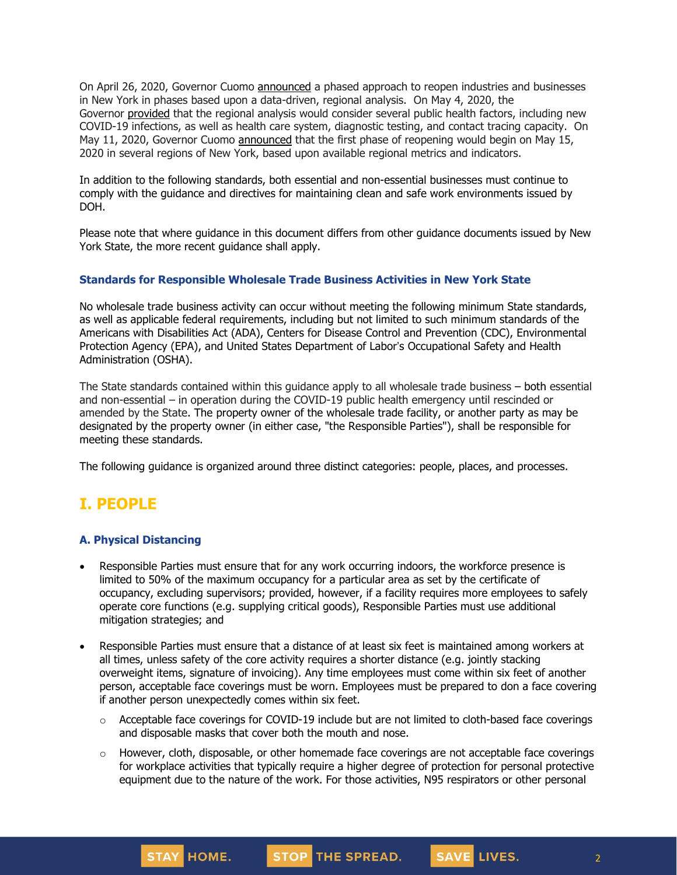On April 26, 2020, Governor Cuomo [announced](https://www.governor.ny.gov/news/amid-ongoing-covid-19-pandemic-governor-cuomo-outlines-phased-plan-re-open-new-york-starting) a phased approach to reopen industries and businesses in New York in phases based upon a data-driven, regional analysis. On May 4, 2020, the Governor [provided](https://www.governor.ny.gov/news/amid-ongoing-covid-19-pandemic-governor-cuomo-outlines-additional-guidelines-when-regions-can) that the regional analysis would consider several public health factors, including new COVID-19 infections, as well as health care system, diagnostic testing, and contact tracing capacity. On May 11, 2020, Governor Cuomo [announced](https://www.governor.ny.gov/news/amid-ongoing-covid-19-pandemic-governor-cuomo-announces-three-regions-new-york-state-ready) that the first phase of reopening would begin on May 15, 2020 in several regions of New York, based upon available regional metrics and indicators.

In addition to the following standards, both essential and non-essential businesses must continue to comply with the guidance and directives for maintaining clean and safe work environments issued by DOH.

Please note that where guidance in this document differs from other guidance documents issued by New York State, the more recent guidance shall apply.

## **Standards for Responsible Wholesale Trade Business Activities in New York State**

No wholesale trade business activity can occur without meeting the following minimum State standards, as well as applicable federal requirements, including but not limited to such minimum standards of the Americans with Disabilities Act (ADA), Centers for Disease Control and Prevention (CDC), Environmental Protection Agency (EPA), and United States Department of Labor's Occupational Safety and Health Administration (OSHA).

The State standards contained within this guidance apply to all wholesale trade business – both essential and non-essential – in operation during the COVID-19 public health emergency until rescinded or amended by the State. The property owner of the wholesale trade facility, or another party as may be designated by the property owner (in either case, "the Responsible Parties"), shall be responsible for meeting these standards.

The following guidance is organized around three distinct categories: people, places, and processes.

## **I. PEOPLE**

### **A. Physical Distancing**

- Responsible Parties must ensure that for any work occurring indoors, the workforce presence is limited to 50% of the maximum occupancy for a particular area as set by the certificate of occupancy, excluding supervisors; provided, however, if a facility requires more employees to safely operate core functions (e.g. supplying critical goods), Responsible Parties must use additional mitigation strategies; and
- Responsible Parties must ensure that a distance of at least six feet is maintained among workers at all times, unless safety of the core activity requires a shorter distance (e.g. jointly stacking overweight items, signature of invoicing). Any time employees must come within six feet of another person, acceptable face coverings must be worn. Employees must be prepared to don a face covering if another person unexpectedly comes within six feet.
	- $\circ$  Acceptable face coverings for COVID-19 include but are not limited to cloth-based face coverings and disposable masks that cover both the mouth and nose.
	- o However, cloth, disposable, or other homemade face coverings are not acceptable face coverings for workplace activities that typically require a higher degree of protection for personal protective equipment due to the nature of the work. For those activities, N95 respirators or other personal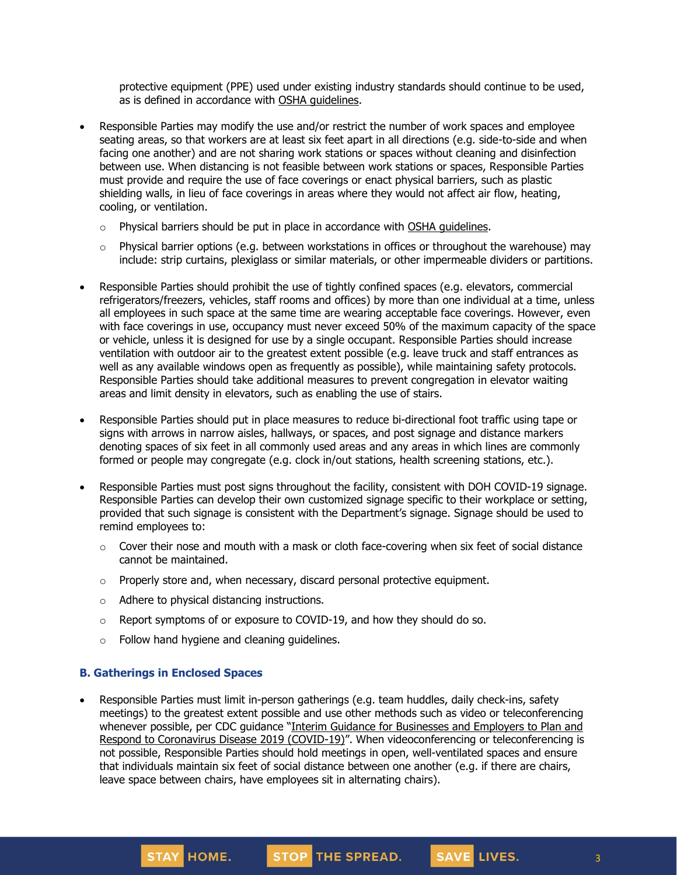protective equipment (PPE) used under existing industry standards should continue to be used, as is defined in accordance with OSHA [guidelines.](https://www.osha.gov/SLTC/personalprotectiveequipment/)

- Responsible Parties may modify the use and/or restrict the number of work spaces and employee seating areas, so that workers are at least six feet apart in all directions (e.g. side-to-side and when facing one another) and are not sharing work stations or spaces without cleaning and disinfection between use. When distancing is not feasible between work stations or spaces, Responsible Parties must provide and require the use of face coverings or enact physical barriers, such as plastic shielding walls, in lieu of face coverings in areas where they would not affect air flow, heating, cooling, or ventilation.
	- $\circ$  Physical barriers should be put in place in accordance with OSHA quidelines.
	- $\circ$  Physical barrier options (e.g. between workstations in offices or throughout the warehouse) may include: strip curtains, plexiglass or similar materials, or other impermeable dividers or partitions.
- Responsible Parties should prohibit the use of tightly confined spaces (e.g. elevators, commercial refrigerators/freezers, vehicles, staff rooms and offices) by more than one individual at a time, unless all employees in such space at the same time are wearing acceptable face coverings. However, even with face coverings in use, occupancy must never exceed 50% of the maximum capacity of the space or vehicle, unless it is designed for use by a single occupant. Responsible Parties should increase ventilation with outdoor air to the greatest extent possible (e.g. leave truck and staff entrances as well as any available windows open as frequently as possible), while maintaining safety protocols. Responsible Parties should take additional measures to prevent congregation in elevator waiting areas and limit density in elevators, such as enabling the use of stairs.
- Responsible Parties should put in place measures to reduce bi-directional foot traffic using tape or signs with arrows in narrow aisles, hallways, or spaces, and post signage and distance markers denoting spaces of six feet in all commonly used areas and any areas in which lines are commonly formed or people may congregate (e.g. clock in/out stations, health screening stations, etc.).
- Responsible Parties must post signs throughout the facility, consistent with DOH COVID-19 signage. Responsible Parties can develop their own customized signage specific to their workplace or setting, provided that such signage is consistent with the Department's signage. Signage should be used to remind employees to:
	- o Cover their nose and mouth with a mask or cloth face-covering when six feet of social distance cannot be maintained.
	- $\circ$  Properly store and, when necessary, discard personal protective equipment.
	- o Adhere to physical distancing instructions.
	- o Report symptoms of or exposure to COVID-19, and how they should do so.
	- o Follow hand hygiene and cleaning guidelines.

#### **B. Gatherings in Enclosed Spaces**

STAY HOME.

• Responsible Parties must limit in-person gatherings (e.g. team huddles, daily check-ins, safety meetings) to the greatest extent possible and use other methods such as video or teleconferencing whenever possible, per CDC guidance "Interim Guidance for [Businesses](https://www.cdc.gov/coronavirus/2019-ncov/community/guidance-business-response.html) and Employers to Plan and Respond to [Coronavirus](https://www.cdc.gov/coronavirus/2019-ncov/community/guidance-business-response.html) Disease 2019 (COVID-19)". When videoconferencing or teleconferencing is not possible, Responsible Parties should hold meetings in open, well-ventilated spaces and ensure that individuals maintain six feet of social distance between one another (e.g. if there are chairs, leave space between chairs, have employees sit in alternating chairs).

STOP THE SPREAD.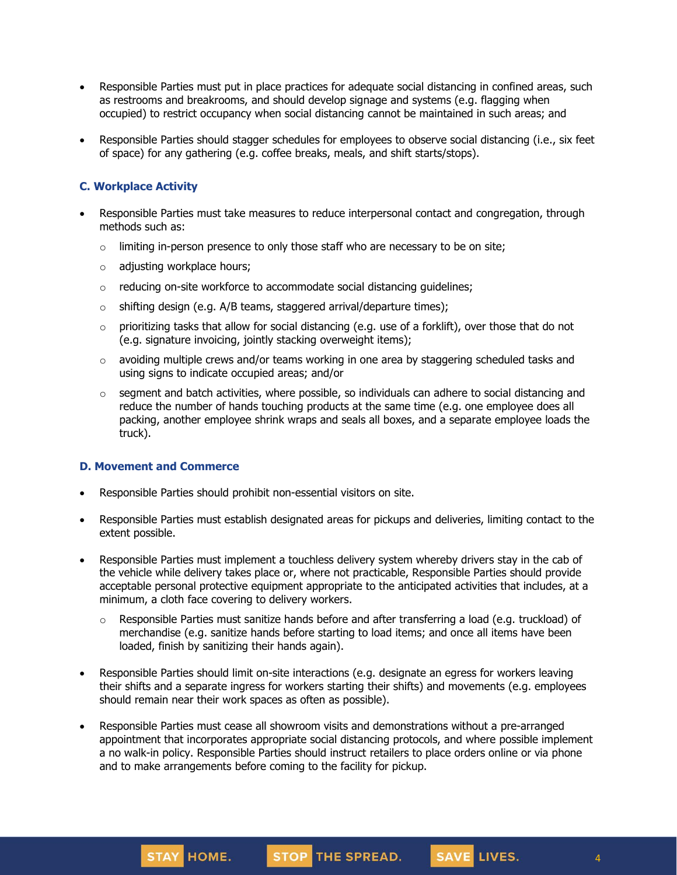- Responsible Parties must put in place practices for adequate social distancing in confined areas, such as restrooms and breakrooms, and should develop signage and systems (e.g. flagging when occupied) to restrict occupancy when social distancing cannot be maintained in such areas; and
- Responsible Parties should stagger schedules for employees to observe social distancing (i.e., six feet of space) for any gathering (e.g. coffee breaks, meals, and shift starts/stops).

## **C. Workplace Activity**

- Responsible Parties must take measures to reduce interpersonal contact and congregation, through methods such as:
	- $\circ$  limiting in-person presence to only those staff who are necessary to be on site;
	- o adjusting workplace hours;
	- o reducing on-site workforce to accommodate social distancing guidelines;
	- $\circ$  shifting design (e.g. A/B teams, staggered arrival/departure times);
	- $\circ$  prioritizing tasks that allow for social distancing (e.g. use of a forklift), over those that do not (e.g. signature invoicing, jointly stacking overweight items);
	- $\circ$  avoiding multiple crews and/or teams working in one area by staggering scheduled tasks and using signs to indicate occupied areas; and/or
	- $\circ$  segment and batch activities, where possible, so individuals can adhere to social distancing and reduce the number of hands touching products at the same time (e.g. one employee does all packing, another employee shrink wraps and seals all boxes, and a separate employee loads the truck).

### **D. Movement and Commerce**

- Responsible Parties should prohibit non-essential visitors on site.
- Responsible Parties must establish designated areas for pickups and deliveries, limiting contact to the extent possible.
- Responsible Parties must implement a touchless delivery system whereby drivers stay in the cab of the vehicle while delivery takes place or, where not practicable, Responsible Parties should provide acceptable personal protective equipment appropriate to the anticipated activities that includes, at a minimum, a cloth face covering to delivery workers.
	- o Responsible Parties must sanitize hands before and after transferring a load (e.g. truckload) of merchandise (e.g. sanitize hands before starting to load items; and once all items have been loaded, finish by sanitizing their hands again).
- Responsible Parties should limit on-site interactions (e.g. designate an egress for workers leaving their shifts and a separate ingress for workers starting their shifts) and movements (e.g. employees should remain near their work spaces as often as possible).
- Responsible Parties must cease all showroom visits and demonstrations without a pre-arranged appointment that incorporates appropriate social distancing protocols, and where possible implement a no walk-in policy. Responsible Parties should instruct retailers to place orders online or via phone and to make arrangements before coming to the facility for pickup.

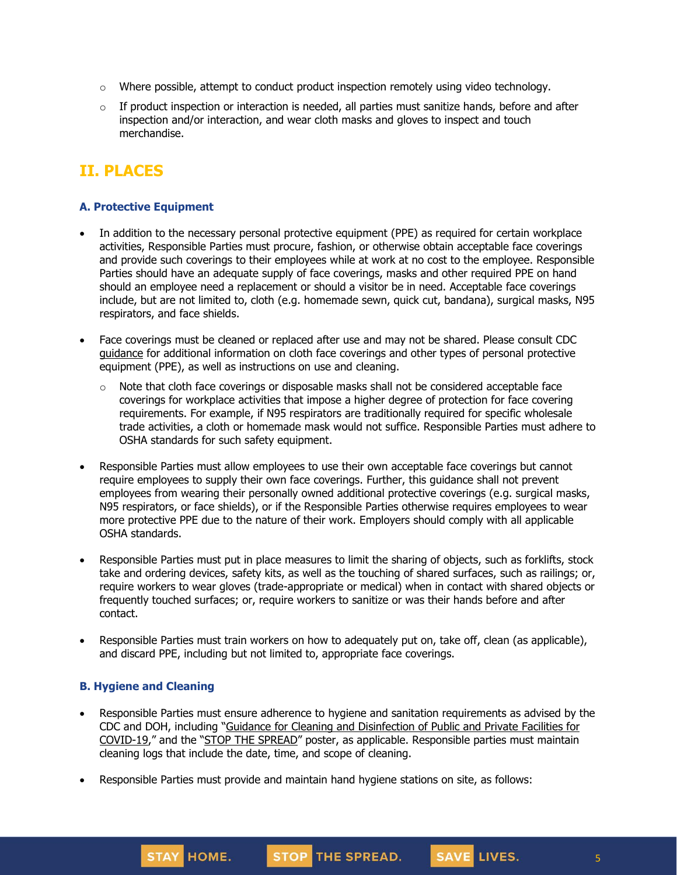- $\circ$  Where possible, attempt to conduct product inspection remotely using video technology.
- $\circ$  If product inspection or interaction is needed, all parties must sanitize hands, before and after inspection and/or interaction, and wear cloth masks and gloves to inspect and touch merchandise.

# **II. PLACES**

## **A. Protective Equipment**

- In addition to the necessary personal protective equipment (PPE) as required for certain workplace activities, Responsible Parties must procure, fashion, or otherwise obtain acceptable face coverings and provide such coverings to their employees while at work at no cost to the employee. Responsible Parties should have an adequate supply of face coverings, masks and other required PPE on hand should an employee need a replacement or should a visitor be in need. Acceptable face coverings include, but are not limited to, cloth (e.g. homemade sewn, quick cut, bandana), surgical masks, N95 respirators, and face shields.
- Face coverings must be cleaned or replaced after use and may not be shared. Please consult CDC [guidance](https://www.cdc.gov/coronavirus/2019-ncov/community/guidance-business-response.html) for additional information on cloth face coverings and other types of personal protective equipment (PPE), as well as instructions on use and cleaning.
	- $\circ$  Note that cloth face coverings or disposable masks shall not be considered acceptable face coverings for workplace activities that impose a higher degree of protection for face covering requirements. For example, if N95 respirators are traditionally required for specific wholesale trade activities, a cloth or homemade mask would not suffice. Responsible Parties must adhere to OSHA standards for such safety equipment.
- Responsible Parties must allow employees to use their own acceptable face coverings but cannot require employees to supply their own face coverings. Further, this guidance shall not prevent employees from wearing their personally owned additional protective coverings (e.g. surgical masks, N95 respirators, or face shields), or if the Responsible Parties otherwise requires employees to wear more protective PPE due to the nature of their work. Employers should comply with all applicable OSHA standards.
- Responsible Parties must put in place measures to limit the sharing of objects, such as forklifts, stock take and ordering devices, safety kits, as well as the touching of shared surfaces, such as railings; or, require workers to wear gloves (trade-appropriate or medical) when in contact with shared objects or frequently touched surfaces; or, require workers to sanitize or was their hands before and after contact.
- Responsible Parties must train workers on how to adequately put on, take off, clean (as applicable), and discard PPE, including but not limited to, appropriate face coverings.

## **B. Hygiene and Cleaning**

STAY HOME.

• Responsible Parties must ensure adherence to hygiene and sanitation requirements as advised by the CDC and DOH, including "Guidance for Cleaning and [Disinfection](https://coronavirus.health.ny.gov/system/files/documents/2020/03/cleaning_guidance_general_building.pdf) of Public and Private Facilities for [COVID-19](https://coronavirus.health.ny.gov/system/files/documents/2020/03/cleaning_guidance_general_building.pdf)," and the "STOP THE [SPREAD](https://coronavirus.health.ny.gov/system/files/documents/2020/04/13067_coronavirus_protectyourself_poster_042020.pdf)" poster, as applicable. Responsible parties must maintain cleaning logs that include the date, time, and scope of cleaning.

STOP THE SPREAD.

• Responsible Parties must provide and maintain hand hygiene stations on site, as follows:

SAVE LIVES.

5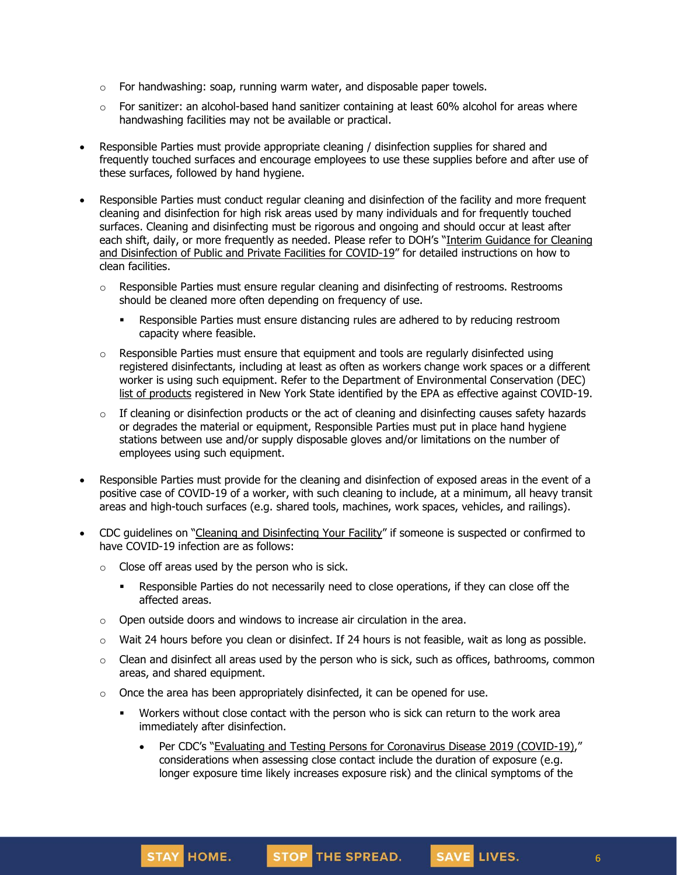- $\circ$  For handwashing: soap, running warm water, and disposable paper towels.
- $\circ$  For sanitizer: an alcohol-based hand sanitizer containing at least 60% alcohol for areas where handwashing facilities may not be available or practical.
- Responsible Parties must provide appropriate cleaning / disinfection supplies for shared and frequently touched surfaces and encourage employees to use these supplies before and after use of these surfaces, followed by hand hygiene.
- Responsible Parties must conduct regular cleaning and disinfection of the facility and more frequent cleaning and disinfection for high risk areas used by many individuals and for frequently touched surfaces. Cleaning and disinfecting must be rigorous and ongoing and should occur at least after each shift, daily, or more frequently as needed. Please refer to DOH's "Interim [Guidance](https://coronavirus.health.ny.gov/system/files/documents/2020/03/cleaning_guidance_general_building.pdf) for Cleaning and [Disinfection](https://coronavirus.health.ny.gov/system/files/documents/2020/03/cleaning_guidance_general_building.pdf) of Public and Private Facilities for COVID-19" for detailed instructions on how to clean facilities.
	- $\circ$  Responsible Parties must ensure regular cleaning and disinfecting of restrooms. Restrooms should be cleaned more often depending on frequency of use.
		- **•** Responsible Parties must ensure distancing rules are adhered to by reducing restroom capacity where feasible.
	- $\circ$  Responsible Parties must ensure that equipment and tools are regularly disinfected using registered disinfectants, including at least as often as workers change work spaces or a different worker is using such equipment. Refer to the Department of Environmental Conservation (DEC) list of [products](http://www.dec.ny.gov/docs/materials_minerals_pdf/covid19.pdf) registered in New York State identified by the EPA as effective against COVID-19.
	- o If cleaning or disinfection products or the act of cleaning and disinfecting causes safety hazards or degrades the material or equipment, Responsible Parties must put in place hand hygiene stations between use and/or supply disposable gloves and/or limitations on the number of employees using such equipment.
- Responsible Parties must provide for the cleaning and disinfection of exposed areas in the event of a positive case of COVID-19 of a worker, with such cleaning to include, at a minimum, all heavy transit areas and high-touch surfaces (e.g. shared tools, machines, work spaces, vehicles, and railings).
- CDC guidelines on "Cleaning and [Disinfecting](https://www.cdc.gov/coronavirus/2019-ncov/community/disinfecting-building-facility.html) Your Facility" if someone is suspected or confirmed to have COVID-19 infection are as follows:
	- $\circ$  Close off areas used by the person who is sick.
		- **•** Responsible Parties do not necessarily need to close operations, if they can close off the affected areas.
	- o Open outside doors and windows to increase air circulation in the area.
	- $\circ$  Wait 24 hours before you clean or disinfect. If 24 hours is not feasible, wait as long as possible.
	- $\circ$  Clean and disinfect all areas used by the person who is sick, such as offices, bathrooms, common areas, and shared equipment.
	- o Once the area has been appropriately disinfected, it can be opened for use.
		- Workers without close contact with the person who is sick can return to the work area immediately after disinfection.
			- Per CDC's "Evaluating and Testing Persons for [Coronavirus](https://www.cdc.gov/coronavirus/2019-ncov/hcp/clinical-criteria.html) Disease 2019 (COVID-19)," considerations when assessing close contact include the duration of exposure (e.g. longer exposure time likely increases exposure risk) and the clinical symptoms of the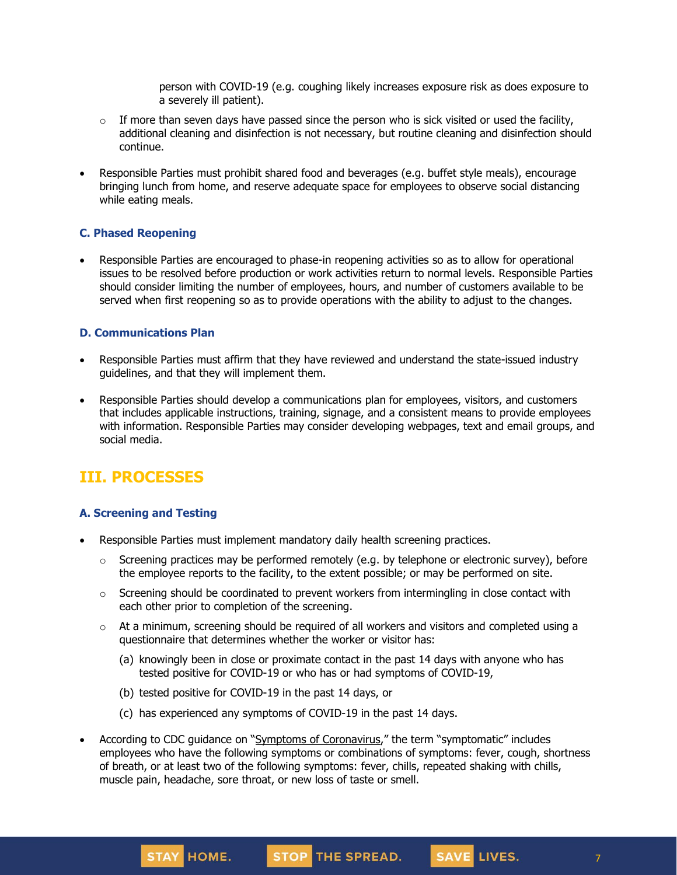person with COVID-19 (e.g. coughing likely increases exposure risk as does exposure to a severely ill patient).

- $\circ$  If more than seven days have passed since the person who is sick visited or used the facility, additional cleaning and disinfection is not necessary, but routine cleaning and disinfection should continue.
- Responsible Parties must prohibit shared food and beverages (e.g. buffet style meals), encourage bringing lunch from home, and reserve adequate space for employees to observe social distancing while eating meals.

## **C. Phased Reopening**

• Responsible Parties are encouraged to phase-in reopening activities so as to allow for operational issues to be resolved before production or work activities return to normal levels. Responsible Parties should consider limiting the number of employees, hours, and number of customers available to be served when first reopening so as to provide operations with the ability to adjust to the changes.

### **D. Communications Plan**

- Responsible Parties must affirm that they have reviewed and understand the state-issued industry guidelines, and that they will implement them.
- Responsible Parties should develop a communications plan for employees, visitors, and customers that includes applicable instructions, training, signage, and a consistent means to provide employees with information. Responsible Parties may consider developing webpages, text and email groups, and social media.

## **III. PROCESSES**

## **A. Screening and Testing**

- Responsible Parties must implement mandatory daily health screening practices.
	- $\circ$  Screening practices may be performed remotely (e.g. by telephone or electronic survey), before the employee reports to the facility, to the extent possible; or may be performed on site.
	- $\circ$  Screening should be coordinated to prevent workers from intermingling in close contact with each other prior to completion of the screening.
	- $\circ$  At a minimum, screening should be required of all workers and visitors and completed using a questionnaire that determines whether the worker or visitor has:
		- (a) knowingly been in close or proximate contact in the past 14 days with anyone who has tested positive for COVID-19 or who has or had symptoms of COVID-19,
		- (b) tested positive for COVID-19 in the past 14 days, or

STAY HOME.

- (c) has experienced any symptoms of COVID-19 in the past 14 days.
- According to CDC guidance on "Symptoms of [Coronavirus](https://www.cdc.gov/coronavirus/2019-ncov/symptoms-testing/symptoms.html)," the term "symptomatic" includes employees who have the following symptoms or combinations of symptoms: fever, cough, shortness of breath, or at least two of the following symptoms: fever, chills, repeated shaking with chills, muscle pain, headache, sore throat, or new loss of taste or smell.

STOP THE SPREAD.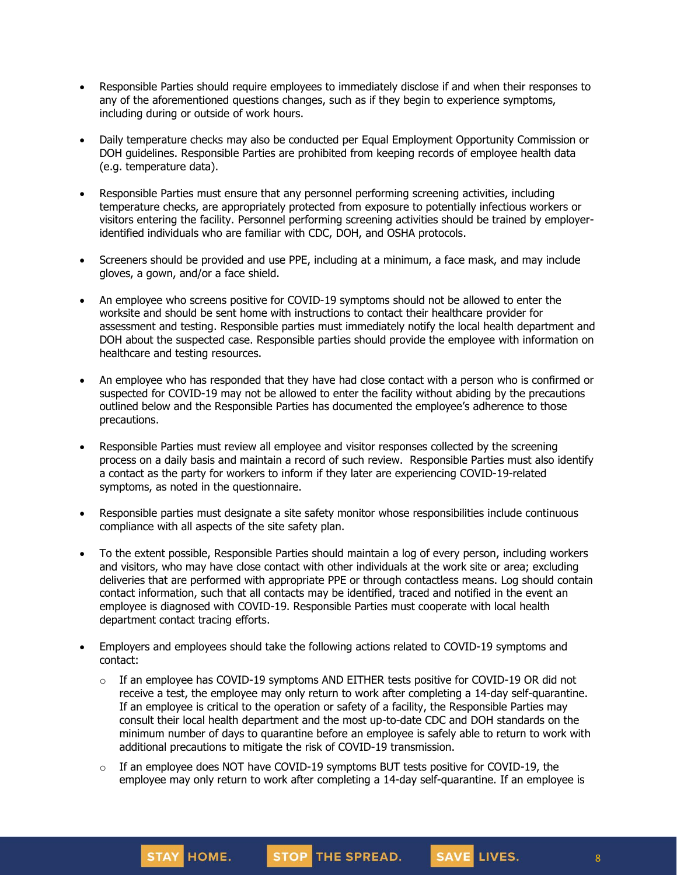- Responsible Parties should require employees to immediately disclose if and when their responses to any of the aforementioned questions changes, such as if they begin to experience symptoms, including during or outside of work hours.
- Daily temperature checks may also be conducted per Equal Employment Opportunity Commission or DOH guidelines. Responsible Parties are prohibited from keeping records of employee health data (e.g. temperature data).
- Responsible Parties must ensure that any personnel performing screening activities, including temperature checks, are appropriately protected from exposure to potentially infectious workers or visitors entering the facility. Personnel performing screening activities should be trained by employeridentified individuals who are familiar with CDC, DOH, and OSHA protocols.
- Screeners should be provided and use PPE, including at a minimum, a face mask, and may include gloves, a gown, and/or a face shield.
- An employee who screens positive for COVID-19 symptoms should not be allowed to enter the worksite and should be sent home with instructions to contact their healthcare provider for assessment and testing. Responsible parties must immediately notify the local health department and DOH about the suspected case. Responsible parties should provide the employee with information on healthcare and testing resources.
- An employee who has responded that they have had close contact with a person who is confirmed or suspected for COVID-19 may not be allowed to enter the facility without abiding by the precautions outlined below and the Responsible Parties has documented the employee's adherence to those precautions.
- Responsible Parties must review all employee and visitor responses collected by the screening process on a daily basis and maintain a record of such review. Responsible Parties must also identify a contact as the party for workers to inform if they later are experiencing COVID-19-related symptoms, as noted in the questionnaire.
- Responsible parties must designate a site safety monitor whose responsibilities include continuous compliance with all aspects of the site safety plan.
- To the extent possible, Responsible Parties should maintain a log of every person, including workers and visitors, who may have close contact with other individuals at the work site or area; excluding deliveries that are performed with appropriate PPE or through contactless means. Log should contain contact information, such that all contacts may be identified, traced and notified in the event an employee is diagnosed with COVID-19. Responsible Parties must cooperate with local health department contact tracing efforts.
- Employers and employees should take the following actions related to COVID-19 symptoms and contact:
	- $\circ$  If an employee has COVID-19 symptoms AND EITHER tests positive for COVID-19 OR did not receive a test, the employee may only [return](https://www.cdc.gov/coronavirus/2019-ncov/hcp/return-to-work.html) to work after completing a 14-day self-quarantine. If an employee is critical to the operation or safety of a facility, the Responsible Parties may consult their local health department and the most up-to-date CDC and DOH standards on the minimum number of days to quarantine before an employee is safely able to return to work with additional precautions to mitigate the risk of COVID-19 transmission.
	- $\circ$  If an employee does NOT have COVID-19 symptoms BUT tests positive for COVID-19, the employee may only return to work after completing a 14-day self-quarantine. If an employee is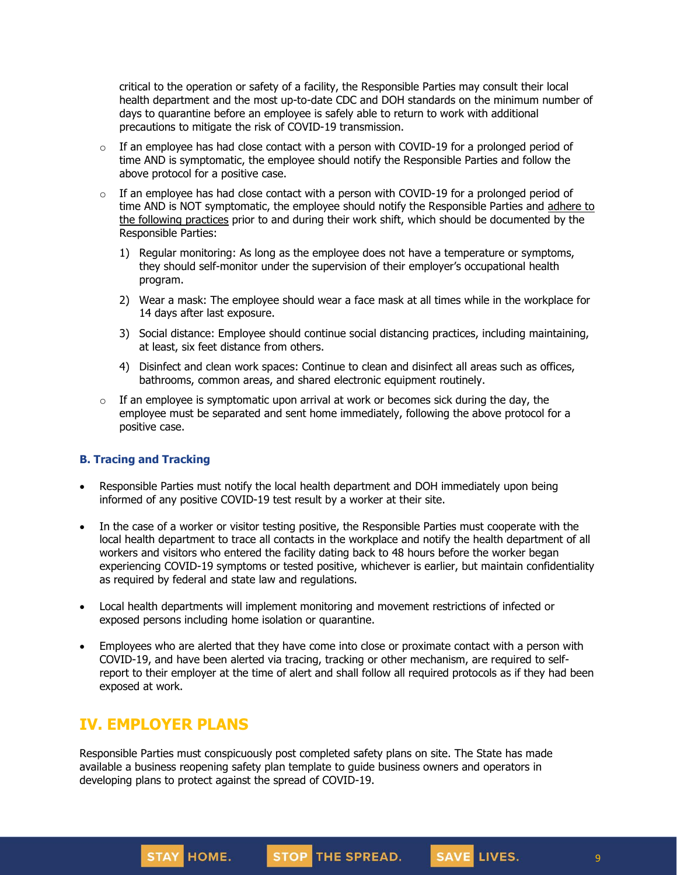critical to the operation or safety of a facility, the Responsible Parties may consult their local health department and the most up-to-date CDC and DOH standards on the minimum number of days to quarantine before an employee is safely able to return to work with additional precautions to mitigate the risk of COVID-19 transmission.

- $\circ$  If an employee has had close contact with a person with COVID-19 for a prolonged period of time AND is symptomatic, the employee should notify the Responsible Parties and follow the above protocol for a positive case.
- $\circ$  If an employee has had close contact with a person with COVID-19 for a prolonged period of time AND is NOT symptomatic, the employee should notify the Responsible Parties and [adhere](https://www.cdc.gov/coronavirus/2019-ncov/community/critical-workers/implementing-safety-practices.html) to the [following](https://www.cdc.gov/coronavirus/2019-ncov/community/critical-workers/implementing-safety-practices.html) practices prior to and during their work shift, which should be documented by the Responsible Parties:
	- 1) Regular monitoring: As long as the employee does not have a temperature or symptoms, they should self-monitor under the supervision of their employer's occupational health program.
	- 2) Wear a mask: The employee should wear a face mask at all times while in the workplace for 14 days after last exposure.
	- 3) Social distance: Employee should continue social distancing practices, including maintaining, at least, six feet distance from others.
	- 4) Disinfect and clean work spaces: Continue to clean and disinfect all areas such as offices, bathrooms, common areas, and shared electronic equipment routinely.
- $\circ$  If an employee is symptomatic upon arrival at work or becomes sick during the day, the employee must be separated and sent home immediately, following the above protocol for a positive case.

### **B. Tracing and Tracking**

- Responsible Parties must notify the local health department and DOH immediately upon being informed of any positive COVID-19 test result by a worker at their site.
- In the case of a worker or visitor testing positive, the Responsible Parties must cooperate with the local health department to trace all contacts in the workplace and notify the health department of all workers and visitors who entered the facility dating back to 48 hours before the worker began experiencing COVID-19 symptoms or tested positive, whichever is earlier, but maintain confidentiality as required by federal and state law and regulations.
- Local health departments will implement monitoring and movement restrictions of infected or exposed persons including home isolation or quarantine.
- Employees who are alerted that they have come into close or proximate contact with a person with COVID-19, and have been alerted via tracing, tracking or other mechanism, are required to selfreport to their employer at the time of alert and shall follow all required protocols as if they had been exposed at work.

## **IV. EMPLOYER PLANS**

Responsible Parties must conspicuously post completed safety plans on site. The State has made available a business reopening safety plan template to guide business owners and operators in developing plans to protect against the spread of COVID-19.